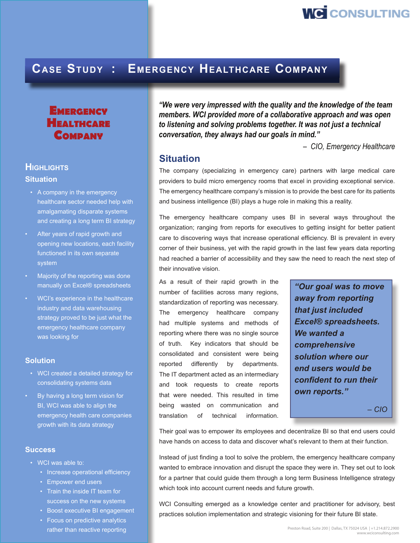

## **Case Study : Emergency Healthcare Company**

## **EMERGENCY Healthcare Company**

### **Highlights**

### **Situation**

- A company in the emergency healthcare sector needed help with amalgamating disparate systems and creating a long term BI strategy
- After years of rapid growth and opening new locations, each facility functioned in its own separate system
- Majority of the reporting was done manually on Excel® spreadsheets
- WCI's experience in the healthcare industry and data warehousing strategy proved to be just what the emergency healthcare company was looking for

### **Solution**

- WCI created a detailed strategy for consolidating systems data
- By having a long term vision for BI, WCI was able to align the emergency health care companies growth with its data strategy

### **Success**

- WCI was able to:
	- Increase operational efficiency
	- Empower end users
	- Train the inside IT team for success on the new systems
	- Boost executive BI engagement
	- Focus on predictive analytics rather than reactive reporting

*"We were very impressed with the quality and the knowledge of the team members. WCI provided more of a collaborative approach and was open to listening and solving problems together. It was not just a technical conversation, they always had our goals in mind."*

 *– CIO, Emergency Healthcare*

### **Situation**

The company (specializing in emergency care) partners with large medical care providers to build micro emergency rooms that excel in providing exceptional service. The emergency healthcare company's mission is to provide the best care for its patients and business intelligence (BI) plays a huge role in making this a reality.

The emergency healthcare company uses BI in several ways throughout the organization; ranging from reports for executives to getting insight for better patient care to discovering ways that increase operational efficiency. BI is prevalent in every corner of their business, yet with the rapid growth in the last few years data reporting had reached a barrier of accessibility and they saw the need to reach the next step of their innovative vision.

As a result of their rapid growth in the number of facilities across many regions, standardization of reporting was necessary. The emergency healthcare company had multiple systems and methods of reporting where there was no single source of truth. Key indicators that should be consolidated and consistent were being reported differently by departments. The IT department acted as an intermediary and took requests to create reports that were needed. This resulted in time being wasted on communication and translation of technical information.

*"Our goal was to move away from reporting that just included Excel® spreadsheets. We wanted a comprehensive solution where our end users would be confident to run their own reports."*

*– CIO*

Their goal was to empower its employees and decentralize BI so that end users could have hands on access to data and discover what's relevant to them at their function.

Instead of just finding a tool to solve the problem, the emergency healthcare company wanted to embrace innovation and disrupt the space they were in. They set out to look for a partner that could guide them through a long term Business Intelligence strategy which took into account current needs and future growth.

WCI Consulting emerged as a knowledge center and practitioner for advisory, best practices solution implementation and strategic visioning for their future BI state.